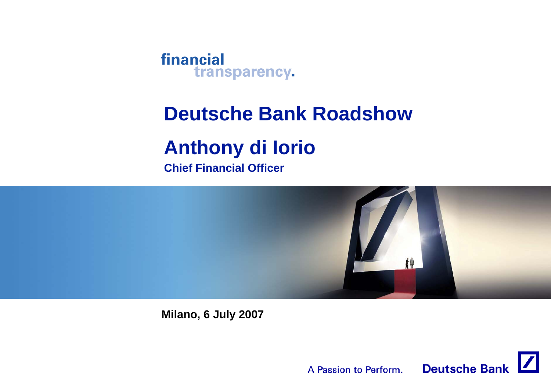

# **Deutsche Bank Roadshow**

# **Anthony di Iorio**

**Chief Financial Officer**



**Milano, 6 July 2007**

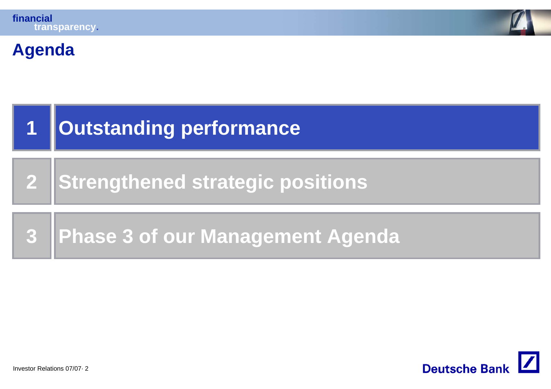

# **Agenda**

| $\mathbf{1}$ | <b>Outstanding performance</b>          |
|--------------|-----------------------------------------|
|              | 2 Strengthened strategic positions      |
| <b>3</b>     | <b>Phase 3 of our Management Agenda</b> |

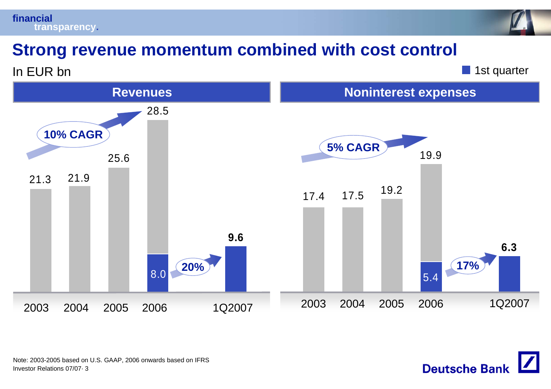



## **Strong revenue momentum combined with cost control**

In EUR bn

**1st quarter** 

**Deutsche Bank** 

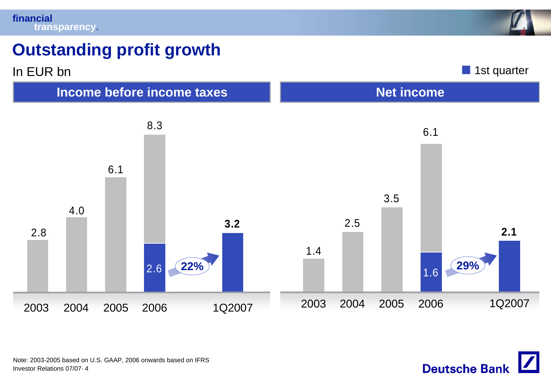

# **Outstanding profit growth**



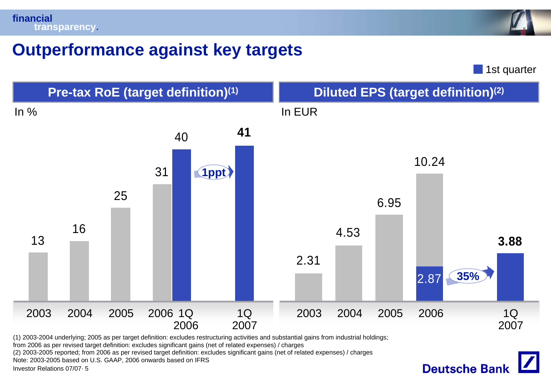

#### **Outperformance against key targets**

**1st quarter** 

**Deutsche Bank** 



from 2006 as per revised target definition: excludes significant gains (net of related expenses) / charges

(2) 2003-2005 reported; from 2006 as per revised target definition: excludes significant gains (net of related expenses) / charges

Note: 2003-2005 based on U.S. GAAP, 2006 onwards based on IFRS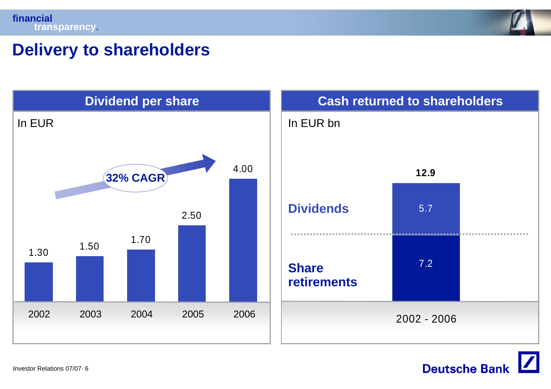



# **Delivery to shareholders**



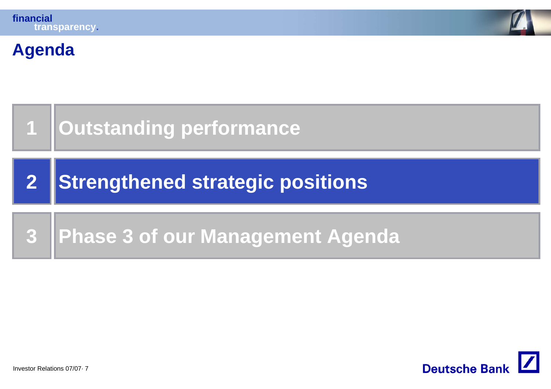

# **Agenda**

| 1   Outstanding performance        |
|------------------------------------|
| 2 Strengthened strategic positions |
| 3 Phase 3 of our Management Agenda |

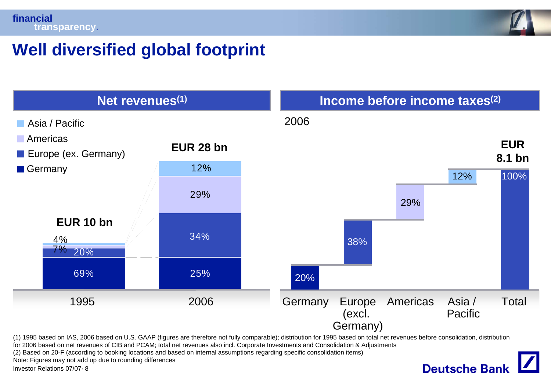

**Deutsche Bank** 

# **Well diversified global footprint**



(1) 1995 based on IAS, 2006 based on U.S. GAAP (figures are therefore not fully comparable); distribution for 1995 based on total net revenues before consolidation, distribution

for 2006 based on net revenues of CIB and PCAM; total net revenues also incl. Corporate Investments and Consolidation & Adjustments

(2) Based on 20-F (according to booking locations and based on internal assumptions regarding specific consolidation items)

Note: Figures may not add up due to rounding differences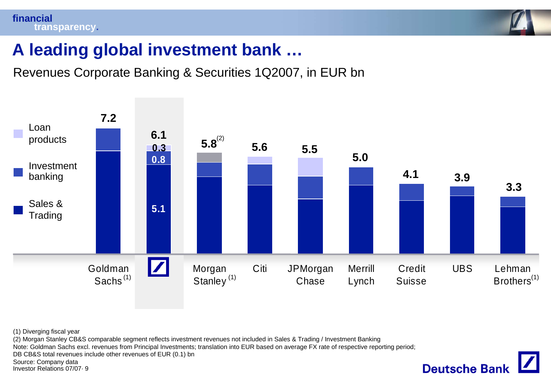

#### **A leading global investment bank …**

Revenues Corporate Banking & Securities 1Q2007, in EUR bn



(1) Diverging fiscal year

(2) Morgan Stanley CB&S comparable segment reflects investment revenues not included in Sales & Trading / Investment Banking

Note: Goldman Sachs excl. revenues from Principal Investments; translation into EUR based on average FX rate of respective reporting period;

DB CB&S total revenues include other revenues of EUR (0.1) bn

Source: Company data

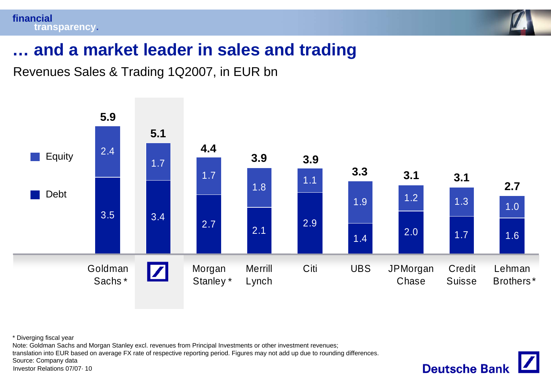



**Deutsche Bank** 

#### **… and a market leader in sales and trading**

Revenues Sales & Trading 1Q2007, in EUR bn



\* Diverging fiscal year

Note: Goldman Sachs and Morgan Stanley excl. revenues from Principal Investments or other investment revenues;

translation into EUR based on average FX rate of respective reporting period. Figures may not add up due to rounding differences.

Source: Company data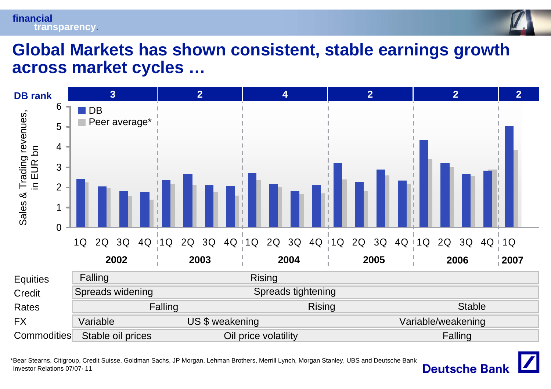

#### **Global Markets has shown consistent, stable earnings growth across market cycles …**



Investor Relations 07/07· 11\*Bear Stearns, Citigroup, Credit Suisse, Goldman Sachs, JP Morgan, Lehman Brothers, Merrill Lynch, Morgan Stanley, UBS and Deutsche Bank

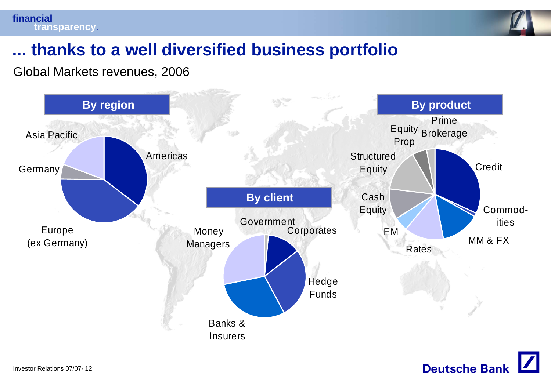

### **... thanks to a well diversified business portfolio**

Global Markets revenues, 2006



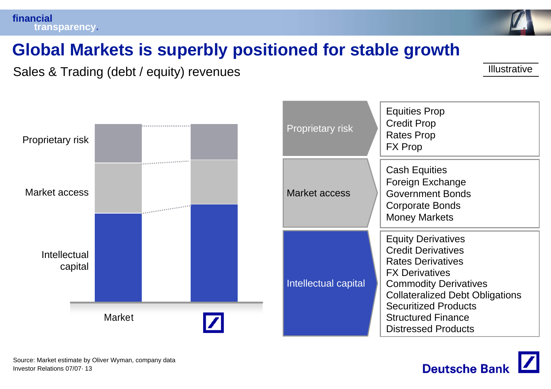

# **Global Markets is superbly positioned for stable growth**

Sales & Trading (debt / equity) revenues **Illustrative** Illustrative



| <b>Proprietary risk</b> | <b>Equities Prop</b><br><b>Credit Prop</b><br><b>Rates Prop</b><br><b>FX Prop</b>                                                                                                                                                                                               |
|-------------------------|---------------------------------------------------------------------------------------------------------------------------------------------------------------------------------------------------------------------------------------------------------------------------------|
| <b>Market access</b>    | <b>Cash Equities</b><br>Foreign Exchange<br><b>Government Bonds</b><br>Corporate Bonds<br><b>Money Markets</b>                                                                                                                                                                  |
| Intellectual capital    | <b>Equity Derivatives</b><br><b>Credit Derivatives</b><br><b>Rates Derivatives</b><br><b>FX Derivatives</b><br><b>Commodity Derivatives</b><br><b>Collateralized Debt Obligations</b><br><b>Securitized Products</b><br><b>Structured Finance</b><br><b>Distressed Products</b> |

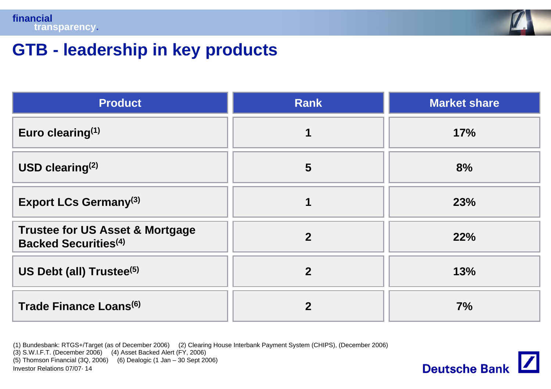

# **GTB - leadership in key products**

| <b>Product</b>                                                            | <b>Rank</b>    | <b>Market share</b> |
|---------------------------------------------------------------------------|----------------|---------------------|
| Euro clearing $(1)$                                                       | 1              | 17%                 |
| USD clearing $(2)$                                                        | $5\phantom{1}$ | 8%                  |
| <b>Export LCs Germany</b> <sup>(3)</sup>                                  | 1              | 23%                 |
| <b>Trustee for US Asset &amp; Mortgage</b><br><b>Backed Securities(4)</b> | $\overline{2}$ | 22%                 |
| US Debt (all) Trustee <sup>(5)</sup>                                      | $\overline{2}$ | 13%                 |
| Trade Finance Loans <sup>(6)</sup>                                        | $\mathbf 2$    | 7%                  |

Investor Relations 07/07· 14(1) Bundesbank: RTGS+/Target (as of December 2006) (2) Clearing House Interbank Payment System (CHIPS), (December 2006) (3) S.W.I.F.T. (December 2006) (4) Asset Backed Alert (FY, 2006) (5) Thomson Financial (3Q, 2006) (6) Dealogic (1 Jan – 30 Sept 2006)

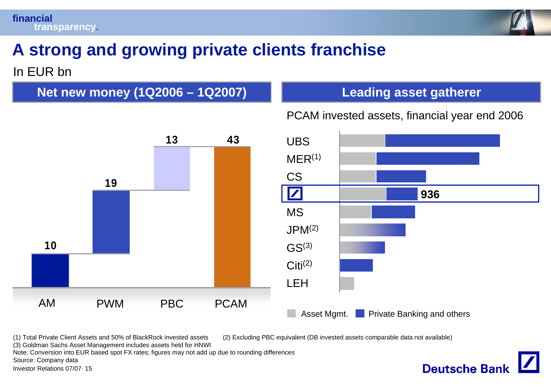

# **A strong and growing private clients franchise**

#### In EUR bn

**Net new money (1Q2006 – 1Q2007)**



**Deutsche Bank** 

PCAM invested assets, financial year end 2006



(1) Total Private Client Assets and 50% of BlackRock invested assets (2) Excluding PBC equivalent (DB invested assets comparable data not available)

(3) Goldman Sachs Asset Management includes assets held for HNWI

Note: Conversion into EUR based spot FX rates; figures may not add up due to rounding differences

Source: Company data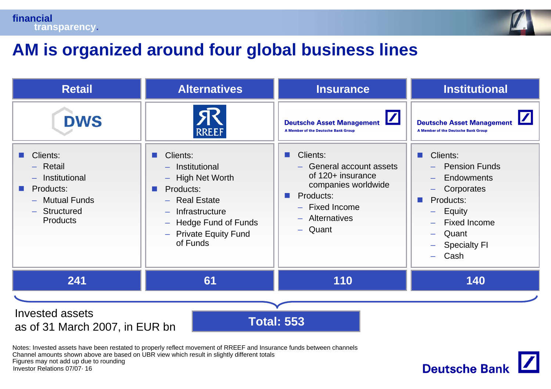



#### **AM is organized around four global business lines**

| <b>Retail</b>                                                                                                                                                                                                                                                                                                                                               | <b>Alternatives</b> | <b>Insurance</b>                                                                                                                                                                                                                                                | <b>Institutional</b>                                                                                                                                                                                                                                                     |
|-------------------------------------------------------------------------------------------------------------------------------------------------------------------------------------------------------------------------------------------------------------------------------------------------------------------------------------------------------------|---------------------|-----------------------------------------------------------------------------------------------------------------------------------------------------------------------------------------------------------------------------------------------------------------|--------------------------------------------------------------------------------------------------------------------------------------------------------------------------------------------------------------------------------------------------------------------------|
| <b>DWS</b><br><b>RREEF</b><br>Clients:<br>Clients:<br>$-$ Retail<br>- Institutional<br>- High Net Worth<br>- Institutional<br>Products:<br>Products:<br><b>Contract Contract Contract</b><br>ш<br>- Mutual Funds<br>- Real Estate<br>- Structured<br>- Infrastructure<br><b>Products</b><br><b>Hedge Fund of Funds</b><br>- Private Equity Fund<br>of Funds |                     | $\boldsymbol{\mathsf{Z}}$<br><b>Deutsche Asset Management</b><br>A Member of the Deutsche Bank Group<br>Clients:<br>a ser<br>- General account assets<br>of 120+ insurance<br>companies worldwide<br>Products:<br>- Fixed Income<br>- Alternatives<br>$-$ Quant | <b>Deutsche Asset Management</b><br>A Member of the Deutsche Bank Group<br>Clients:<br><b>COL</b><br><b>Pension Funds</b><br><b>Endowments</b><br>Corporates<br>Products:<br>ш<br>Equity<br>-<br><b>Fixed Income</b><br>Quant<br>÷,<br><b>Specialty FI</b><br>Cash<br>÷. |
| 241                                                                                                                                                                                                                                                                                                                                                         | 61                  | 110                                                                                                                                                                                                                                                             | 140                                                                                                                                                                                                                                                                      |
|                                                                                                                                                                                                                                                                                                                                                             |                     |                                                                                                                                                                                                                                                                 |                                                                                                                                                                                                                                                                          |
| <b>Invested assets</b><br><b>Total: 553</b><br>as of 31 March 2007, in EUR bn                                                                                                                                                                                                                                                                               |                     |                                                                                                                                                                                                                                                                 |                                                                                                                                                                                                                                                                          |

Investor Relations 07/07· 16Notes: Invested assets have been restated to properly reflect movement of RREEF and Insurance funds between channels Channel amounts shown above are based on UBR view which result in slightly different totals Figures may not add up due to rounding

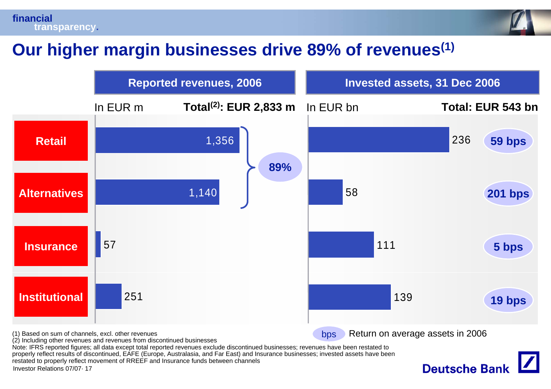

# **Our higher margin businesses drive 89% of revenues(1)**

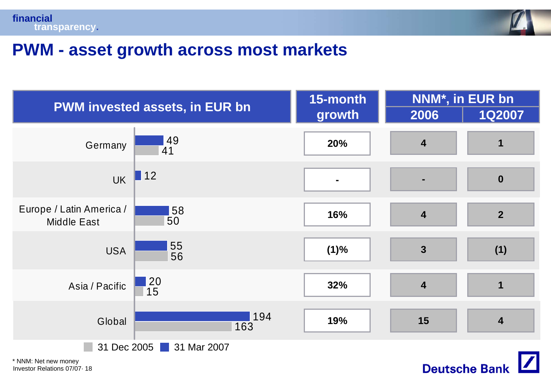



**Deutsche Bank** 

#### **PWM - asset growth across most markets**

| <b>PWM invested assets, in EUR bn</b>          |                                         | 15-month       | NNM*, in EUR bn         |                         |
|------------------------------------------------|-----------------------------------------|----------------|-------------------------|-------------------------|
|                                                |                                         | growth         | 2006                    | <b>1Q2007</b>           |
| Germany                                        | $\frac{149}{41}$                        | 20%            | $\overline{\mathbf{4}}$ | 1                       |
| <b>UK</b>                                      | $\blacksquare$ 12                       | $\blacksquare$ | $\blacksquare$          | $\boldsymbol{0}$        |
| Europe / Latin America /<br><b>Middle East</b> | 58<br>50                                | 16%            | $\overline{\mathbf{4}}$ | $\overline{2}$          |
| <b>USA</b>                                     | 55<br>56                                | (1)%           | $\mathbf{3}$            | (1)                     |
| Asia / Pacific                                 | $\begin{array}{c} 20 \\ 15 \end{array}$ | 32%            | $\overline{\mathbf{4}}$ | $\mathbf 1$             |
| Global                                         | 194<br>163                              | 19%            | 15                      | $\overline{\mathbf{4}}$ |
| 31 Dec 2005<br>31 Mar 2007                     |                                         |                |                         |                         |

Investor Relations 07/07· 18 \* NNM: Net new money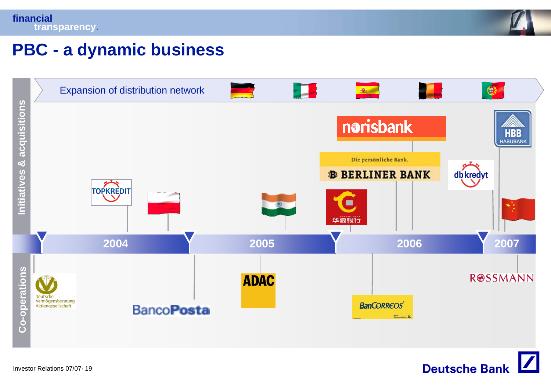

#### **PBC - a dynamic business**



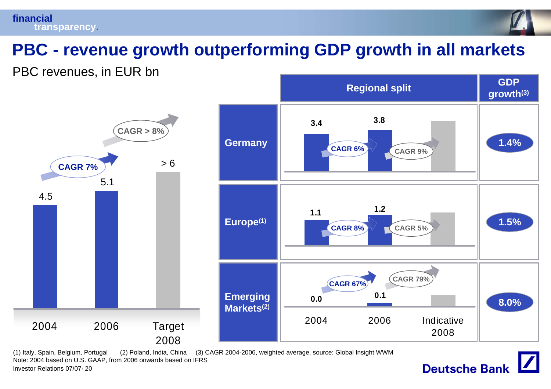# **PBC - revenue growth outperforming GDP growth in all markets**

PBC revenues, in EUR bn



Investor Relations 07/07· 20(1) Italy, Spain, Belgium, Portugal (2) Poland, India, China (3) CAGR 2004-2006, weighted average, source: Global Insight WWM Note: 2004 based on U.S. GAAP, from 2006 onwards based on IFRS

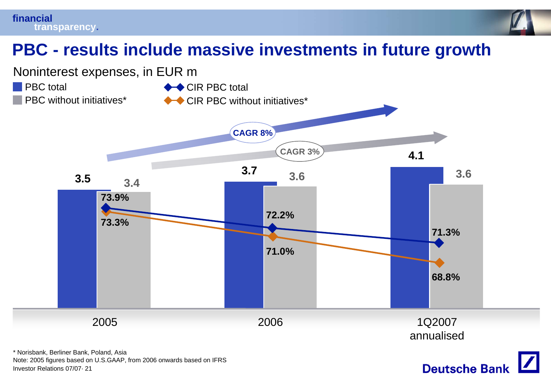



**Deutsche Bank** 

# **PBC - results include massive investments in future growth**



Investor Relations 07/07· 21Note: 2005 figures based on U.S.GAAP, from 2006 onwards based on IFRS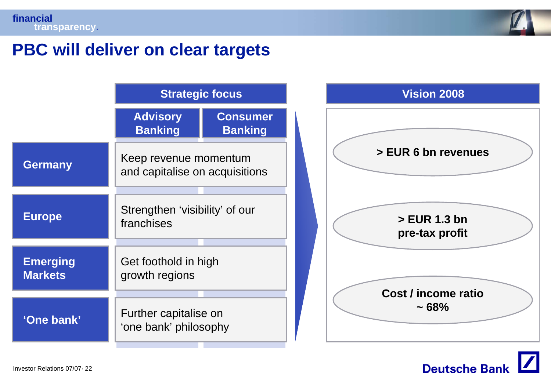

#### **PBC will deliver on clear targets**

|                                   | <b>Strategic focus</b>                                  |                                   |
|-----------------------------------|---------------------------------------------------------|-----------------------------------|
|                                   | <b>Advisory</b><br><b>Banking</b>                       | <b>Consumer</b><br><b>Banking</b> |
| <b>Germany</b>                    | Keep revenue momentum<br>and capitalise on acquisitions |                                   |
| <b>Europe</b>                     | Strengthen 'visibility' of our<br>franchises            |                                   |
| <b>Emerging</b><br><b>Markets</b> | Get foothold in high<br>growth regions                  |                                   |
| 'One bank'                        | Further capitalise on<br>'one bank' philosophy          |                                   |



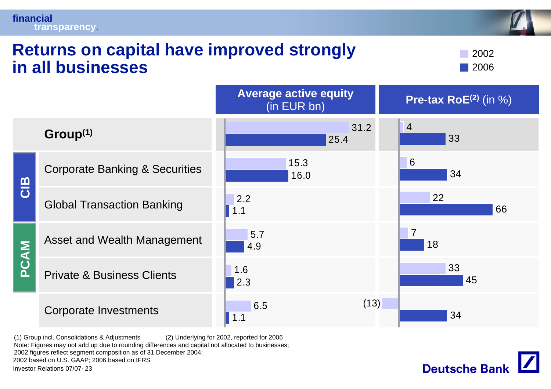#### **Returns on capital have improved strongly in all businesses**

20022006

|                                                                                                                                                                                                                                                                     |                                           | <b>AVGIAYG AVLIVG GYUILY</b><br>(in EUR bn) | <b>Pre-tax RoE</b> $(2)$ (in $\%$ ) |
|---------------------------------------------------------------------------------------------------------------------------------------------------------------------------------------------------------------------------------------------------------------------|-------------------------------------------|---------------------------------------------|-------------------------------------|
|                                                                                                                                                                                                                                                                     | Group <sup>(1)</sup>                      | 31.2<br>25.4                                | $\overline{4}$<br>33                |
|                                                                                                                                                                                                                                                                     | <b>Corporate Banking &amp; Securities</b> | 15.3<br>16.0                                | 6<br>34                             |
| CIB                                                                                                                                                                                                                                                                 | <b>Global Transaction Banking</b>         | 2.2<br>1.1                                  | 22<br>66                            |
|                                                                                                                                                                                                                                                                     | Asset and Wealth Management               | 5.7<br>4.9                                  | $\overline{7}$<br>18                |
| PCAM                                                                                                                                                                                                                                                                | <b>Private &amp; Business Clients</b>     | 1.6<br>2.3                                  | 33<br>45                            |
|                                                                                                                                                                                                                                                                     | <b>Corporate Investments</b>              | 6.5                                         | (13)<br>34                          |
| (1) Group incl. Consolidations & Adjustments<br>(2) Underlying for 2002, reported for 2006<br>Note: Figures may not add up due to rounding differences and capital not allocated to businesses;<br>2002 figures reflect segment composition as of 31 December 2004; |                                           |                                             |                                     |

**Average active equity** 

2002 based on U.S. GAAP; 2006 based on IFRS

Investor Relations 07/07· 23

**financial**

**transparency.**

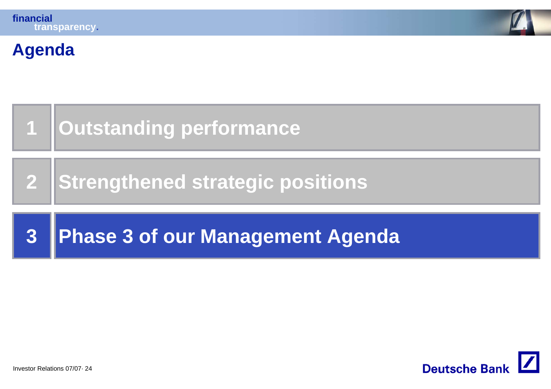

#### **Agenda**



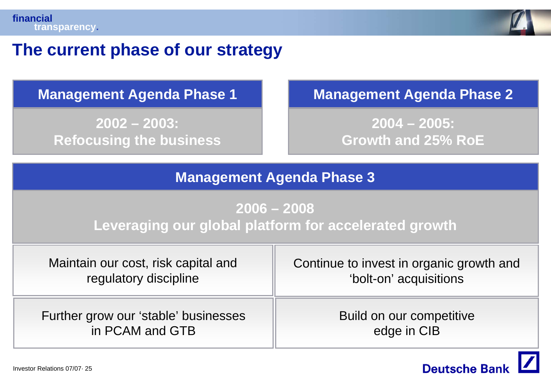

#### **The current phase of our strategy**

**2002 – 2003: Refocusing the business**

#### **Management Agenda Phase 1 Management Agenda Phase 2**

**2004 – 2005: Growth and 25% RoE**

#### **Management Agenda Phase 3**

#### **2006 – 2008 Leveraging our global platform for accelerated growth**

| Maintain our cost, risk capital and  | Continue to invest in organic growth and |
|--------------------------------------|------------------------------------------|
| regulatory discipline                | 'bolt-on' acquisitions                   |
| Further grow our 'stable' businesses | Build on our competitive                 |
| in PCAM and GTB                      | edge in CIB                              |

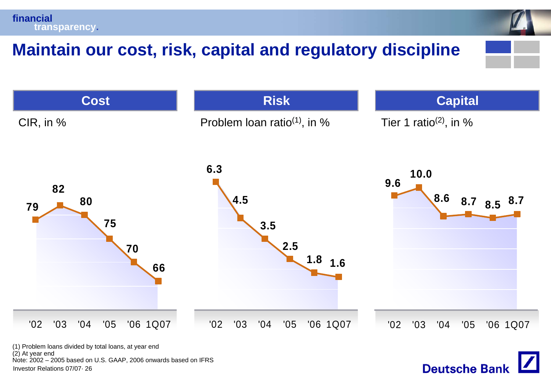# **Maintain our cost, risk, capital and regulatory discipline**



**Deutsche Bank** 

(2) At year end Note: 2002 – 2005 based on U.S. GAAP, 2006 onwards based on IFRS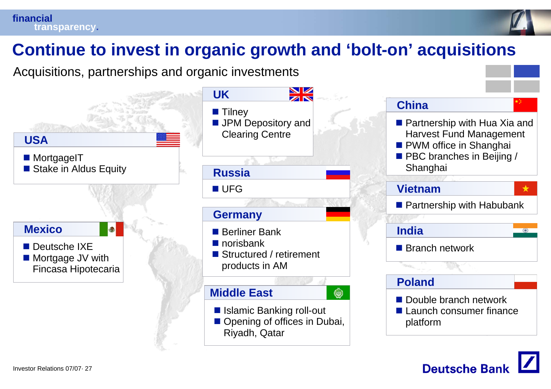



# **Continue to invest in organic growth and 'bolt-on' acquisitions**

Acquisitions, partnerships and organic investments



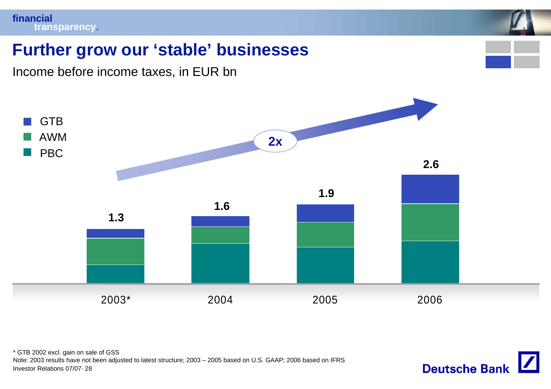

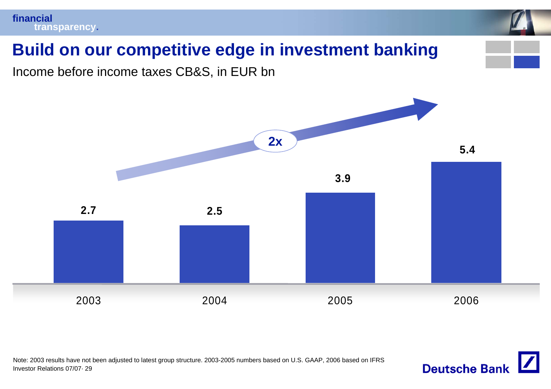

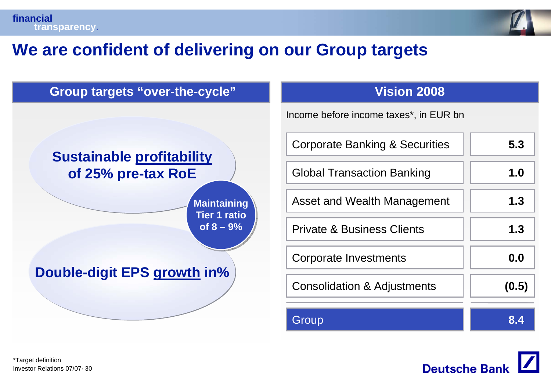

# **We are confident of delivering on our Group targets**